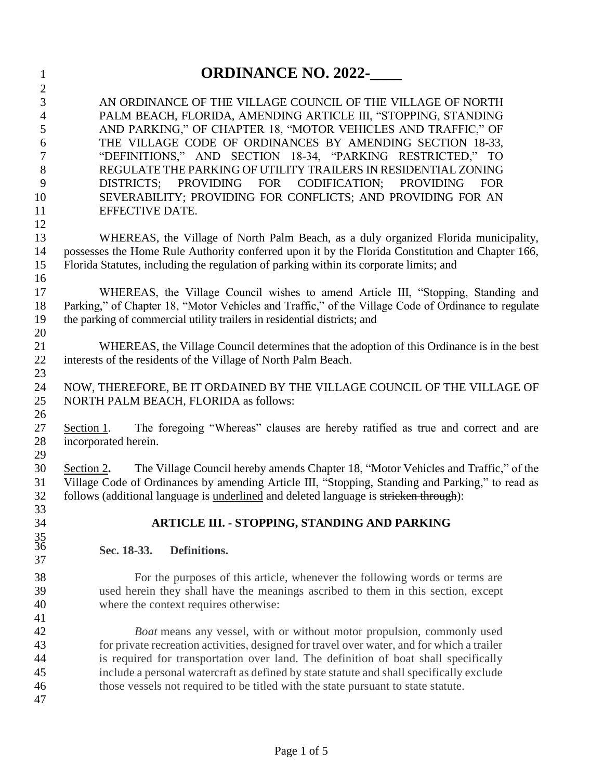| $\mathbf{1}$                                                                        | <b>ORDINANCE NO. 2022-</b>                                                                                                                                                                                                                                                                                                                                                                                                                                                                                                                      |  |  |  |  |
|-------------------------------------------------------------------------------------|-------------------------------------------------------------------------------------------------------------------------------------------------------------------------------------------------------------------------------------------------------------------------------------------------------------------------------------------------------------------------------------------------------------------------------------------------------------------------------------------------------------------------------------------------|--|--|--|--|
| $\mathbf{2}$<br>3<br>$\overline{4}$<br>5<br>6<br>$\tau$<br>8<br>9<br>10<br>11<br>12 | AN ORDINANCE OF THE VILLAGE COUNCIL OF THE VILLAGE OF NORTH<br>PALM BEACH, FLORIDA, AMENDING ARTICLE III, "STOPPING, STANDING<br>AND PARKING," OF CHAPTER 18, "MOTOR VEHICLES AND TRAFFIC," OF<br>THE VILLAGE CODE OF ORDINANCES BY AMENDING SECTION 18-33,<br>"DEFINITIONS," AND SECTION 18-34, "PARKING RESTRICTED," TO<br>REGULATE THE PARKING OF UTILITY TRAILERS IN RESIDENTIAL ZONING<br>DISTRICTS; PROVIDING FOR CODIFICATION; PROVIDING<br><b>FOR</b><br>SEVERABILITY; PROVIDING FOR CONFLICTS; AND PROVIDING FOR AN<br>EFFECTIVE DATE. |  |  |  |  |
| 13<br>14<br>15<br>16                                                                | WHEREAS, the Village of North Palm Beach, as a duly organized Florida municipality,<br>possesses the Home Rule Authority conferred upon it by the Florida Constitution and Chapter 166,<br>Florida Statutes, including the regulation of parking within its corporate limits; and                                                                                                                                                                                                                                                               |  |  |  |  |
| 17<br>18<br>19<br>20                                                                | WHEREAS, the Village Council wishes to amend Article III, "Stopping, Standing and<br>Parking," of Chapter 18, "Motor Vehicles and Traffic," of the Village Code of Ordinance to regulate<br>the parking of commercial utility trailers in residential districts; and                                                                                                                                                                                                                                                                            |  |  |  |  |
| 21<br>22<br>23                                                                      | WHEREAS, the Village Council determines that the adoption of this Ordinance is in the best<br>interests of the residents of the Village of North Palm Beach.                                                                                                                                                                                                                                                                                                                                                                                    |  |  |  |  |
| 24<br>25                                                                            | NOW, THEREFORE, BE IT ORDAINED BY THE VILLAGE COUNCIL OF THE VILLAGE OF<br>NORTH PALM BEACH, FLORIDA as follows:                                                                                                                                                                                                                                                                                                                                                                                                                                |  |  |  |  |
| 26<br>27<br>28                                                                      | The foregoing "Whereas" clauses are hereby ratified as true and correct and are<br>Section 1.<br>incorporated herein.                                                                                                                                                                                                                                                                                                                                                                                                                           |  |  |  |  |
| 29<br>30<br>31<br>32                                                                | The Village Council hereby amends Chapter 18, "Motor Vehicles and Traffic," of the<br>Section 2.<br>Village Code of Ordinances by amending Article III, "Stopping, Standing and Parking," to read as<br>follows (additional language is underlined and deleted language is stricken through):                                                                                                                                                                                                                                                   |  |  |  |  |
| 33<br>34                                                                            | ARTICLE III. - STOPPING, STANDING AND PARKING                                                                                                                                                                                                                                                                                                                                                                                                                                                                                                   |  |  |  |  |
| $\frac{35}{36}$<br>37                                                               | Definitions.<br>Sec. 18-33.                                                                                                                                                                                                                                                                                                                                                                                                                                                                                                                     |  |  |  |  |
| 38<br>39<br>40<br>41                                                                | For the purposes of this article, whenever the following words or terms are<br>used herein they shall have the meanings ascribed to them in this section, except<br>where the context requires otherwise:                                                                                                                                                                                                                                                                                                                                       |  |  |  |  |
| 42<br>43<br>44<br>45<br>46<br>47                                                    | Boat means any vessel, with or without motor propulsion, commonly used<br>for private recreation activities, designed for travel over water, and for which a trailer<br>is required for transportation over land. The definition of boat shall specifically<br>include a personal watercraft as defined by state statute and shall specifically exclude<br>those vessels not required to be titled with the state pursuant to state statute.                                                                                                    |  |  |  |  |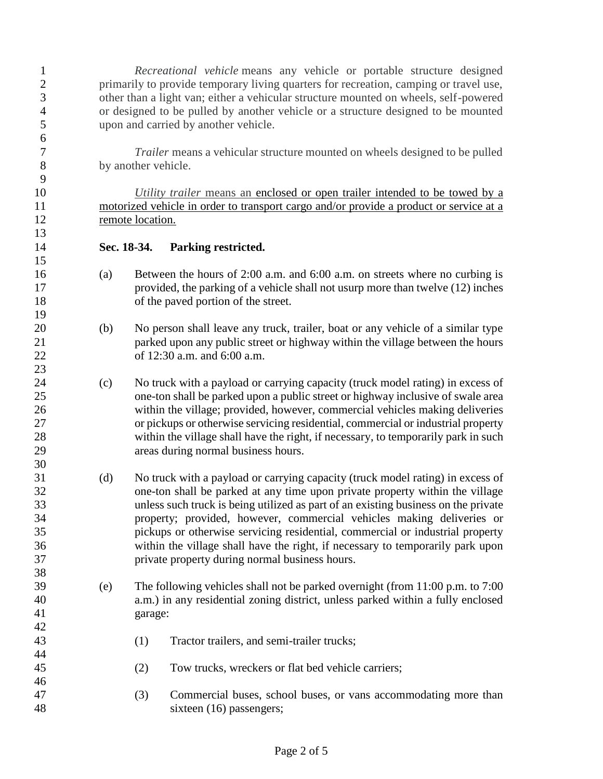*Recreational vehicle* means any vehicle or portable structure designed 2 primarily to provide temporary living quarters for recreation, camping or travel use, other than a light van; either a vehicular structure mounted on wheels, self-powered or designed to be pulled by another vehicle or a structure designed to be mounted upon and carried by another vehicle.

 *Trailer* means a vehicular structure mounted on wheels designed to be pulled by another vehicle.

 *Utility trailer* means an enclosed or open trailer intended to be towed by a motorized vehicle in order to transport cargo and/or provide a product or service at a remote location.

## **Sec. 18-34. Parking restricted.**

- (a) Between the hours of 2:00 a.m. and 6:00 a.m. on streets where no curbing is provided, the parking of a vehicle shall not usurp more than twelve (12) inches of the paved portion of the street.
- (b) No person shall leave any truck, trailer, boat or any vehicle of a similar type parked upon any public street or highway within the village between the hours of 12:30 a.m. and 6:00 a.m.
- (c) No truck with a payload or carrying capacity (truck model rating) in excess of one-ton shall be parked upon a public street or highway inclusive of swale area within the village; provided, however, commercial vehicles making deliveries or pickups or otherwise servicing residential, commercial or industrial property within the village shall have the right, if necessary, to temporarily park in such areas during normal business hours.
- (d) No truck with a payload or carrying capacity (truck model rating) in excess of one-ton shall be parked at any time upon private property within the village unless such truck is being utilized as part of an existing business on the private property; provided, however, commercial vehicles making deliveries or pickups or otherwise servicing residential, commercial or industrial property within the village shall have the right, if necessary to temporarily park upon private property during normal business hours.
- (e) The following vehicles shall not be parked overnight (from 11:00 p.m. to 7:00 a.m.) in any residential zoning district, unless parked within a fully enclosed garage:
- (1) Tractor trailers, and semi-trailer trucks;
- (2) Tow trucks, wreckers or flat bed vehicle carriers;
- (3) Commercial buses, school buses, or vans accommodating more than sixteen (16) passengers;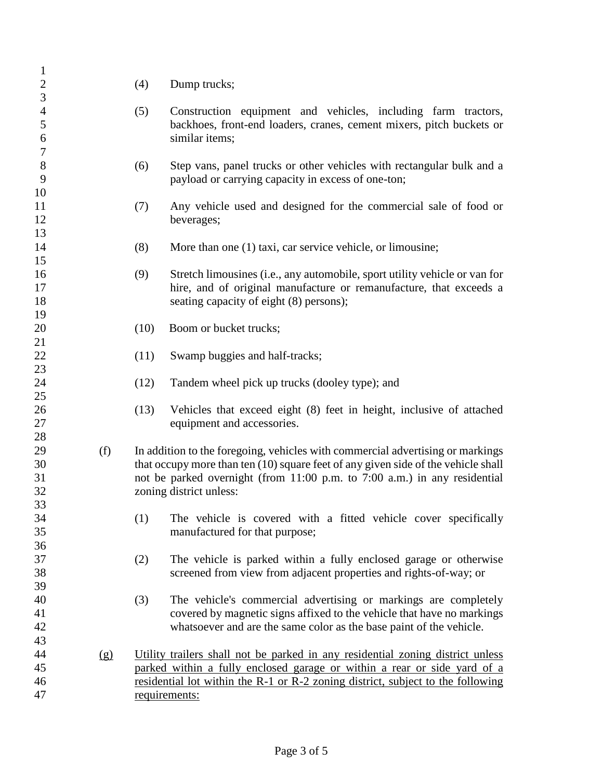| $\mathbf{1}$     |     |      |                                                                                   |
|------------------|-----|------|-----------------------------------------------------------------------------------|
| $\sqrt{2}$       |     | (4)  | Dump trucks;                                                                      |
| $\overline{3}$   |     |      |                                                                                   |
| $\overline{4}$   |     | (5)  | Construction equipment and vehicles, including farm tractors,                     |
| 5                |     |      | backhoes, front-end loaders, cranes, cement mixers, pitch buckets or              |
| $\boldsymbol{6}$ |     |      | similar items;                                                                    |
| $\boldsymbol{7}$ |     |      |                                                                                   |
| $8\,$            |     | (6)  | Step vans, panel trucks or other vehicles with rectangular bulk and a             |
| 9                |     |      | payload or carrying capacity in excess of one-ton;                                |
| 10               |     |      |                                                                                   |
| 11               |     | (7)  | Any vehicle used and designed for the commercial sale of food or                  |
| 12               |     |      | beverages;                                                                        |
| 13               |     |      |                                                                                   |
| 14               |     | (8)  | More than one (1) taxi, car service vehicle, or limousine;                        |
| 15               |     |      |                                                                                   |
| 16               |     | (9)  | Stretch limousines (i.e., any automobile, sport utility vehicle or van for        |
| 17               |     |      | hire, and of original manufacture or remanufacture, that exceeds a                |
| 18               |     |      | seating capacity of eight (8) persons);                                           |
| 19               |     |      |                                                                                   |
| 20               |     | (10) | Boom or bucket trucks;                                                            |
| 21               |     |      |                                                                                   |
| 22               |     | (11) | Swamp buggies and half-tracks;                                                    |
| 23               |     |      |                                                                                   |
| 24               |     | (12) | Tandem wheel pick up trucks (dooley type); and                                    |
| 25               |     |      |                                                                                   |
| 26               |     | (13) | Vehicles that exceed eight (8) feet in height, inclusive of attached              |
| 27               |     |      | equipment and accessories.                                                        |
| 28               |     |      |                                                                                   |
| 29               | (f) |      | In addition to the foregoing, vehicles with commercial advertising or markings    |
| 30               |     |      | that occupy more than ten (10) square feet of any given side of the vehicle shall |
| 31               |     |      | not be parked overnight (from 11:00 p.m. to 7:00 a.m.) in any residential         |
| 32               |     |      | zoning district unless:                                                           |
| 33               |     |      |                                                                                   |
| 34               |     | (1)  | The vehicle is covered with a fitted vehicle cover specifically                   |
| 35               |     |      | manufactured for that purpose;                                                    |
| 36               |     |      |                                                                                   |
| 37               |     | (2)  | The vehicle is parked within a fully enclosed garage or otherwise                 |
| 38               |     |      | screened from view from adjacent properties and rights-of-way; or                 |
| 39               |     |      |                                                                                   |
| 40               |     | (3)  | The vehicle's commercial advertising or markings are completely                   |
| 41               |     |      | covered by magnetic signs affixed to the vehicle that have no markings            |
| 42               |     |      | whatsoever and are the same color as the base paint of the vehicle.               |
| 43               |     |      |                                                                                   |
| 44               | (g) |      | Utility trailers shall not be parked in any residential zoning district unless    |
| 45               |     |      | parked within a fully enclosed garage or within a rear or side yard of a          |
| 46               |     |      | residential lot within the R-1 or R-2 zoning district, subject to the following   |
| 47               |     |      | requirements:                                                                     |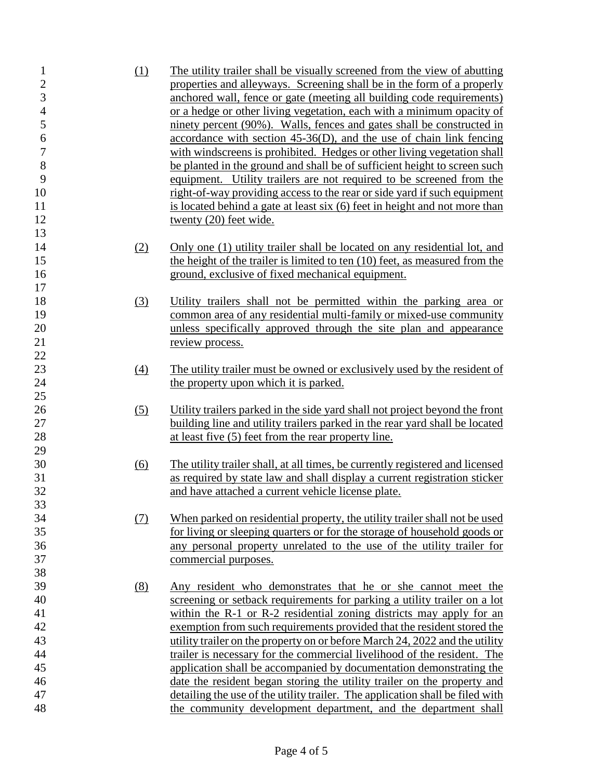(1) The utility trailer shall be visually screened from the view of abutting properties and alleyways. Screening shall be in the form of a properly anchored wall, fence or gate (meeting all building code requirements) or a hedge or other living vegetation, each with a minimum opacity of ninety percent (90%). Walls, fences and gates shall be constructed in accordance with section 45-36(D), and the use of chain link fencing with windscreens is prohibited. Hedges or other living vegetation shall be planted in the ground and shall be of sufficient height to screen such equipment. Utility trailers are not required to be screened from the right-of-way providing access to the rear or side yard if such equipment 11 is located behind a gate at least six (6) feet in height and not more than 12 twenty (20) feet wide. (2) Only one (1) utility trailer shall be located on any residential lot, and the height of the trailer is limited to ten (10) feet, as measured from the ground, exclusive of fixed mechanical equipment. (3) Utility trailers shall not be permitted within the parking area or common area of any residential multi-family or mixed-use community unless specifically approved through the site plan and appearance 21 review process. (4) The utility trailer must be owned or exclusively used by the resident of 24 the property upon which it is parked. (5) Utility trailers parked in the side yard shall not project beyond the front building line and utility trailers parked in the rear yard shall be located 28 at least five (5) feet from the rear property line. (6) The utility trailer shall, at all times, be currently registered and licensed as required by state law and shall display a current registration sticker and have attached a current vehicle license plate. (7) When parked on residential property, the utility trailer shall not be used for living or sleeping quarters or for the storage of household goods or any personal property unrelated to the use of the utility trailer for commercial purposes. (8) Any resident who demonstrates that he or she cannot meet the screening or setback requirements for parking a utility trailer on a lot within the R-1 or R-2 residential zoning districts may apply for an exemption from such requirements provided that the resident stored the utility trailer on the property on or before March 24, 2022 and the utility trailer is necessary for the commercial livelihood of the resident. The application shall be accompanied by documentation demonstrating the date the resident began storing the utility trailer on the property and detailing the use of the utility trailer. The application shall be filed with the community development department, and the department shall